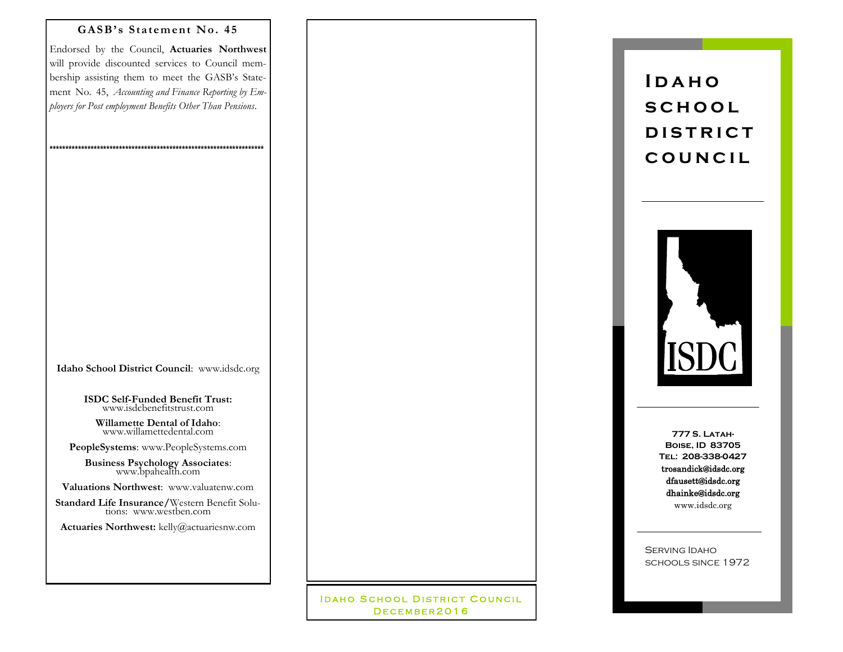## GASB's Statement No. 45

Endorsed by the Council, Actuaries Northwest will provide discounted services to Council membership assisting them to meet the GASB's Statement No. 45, Accounting and Finance Reporting by Employers for Post employment Benefits Other Than Pensions.

Idaho School District Council: www.idsdc.org

**ISDC Self-Funded Benefit Trust:** www.isdcbenefitstrust.com

Willamette Dental of Idaho: www.willamettedental.com

PeopleSystems: www.PeopleSystems.com

**Business Psychology Associates:**<br>www.bpahealth.com

Valuations Northwest: www.valuatenw.com

Standard Life Insurance/Western Benefit Solutions: www.westben.com

Actuaries Northwest: kelly@actuariesnw.com

**IDAHO SCHOOL DISTRICT COUNCIL** DECEMBER2016

 $IDAHO$ **SCHOOL DISTRICT** COUNCIL



**777 S. LATAH-BOISE, ID 83705** TEL: 208-338-0427 trosandick@idsdc.org dfausett@idsdc.org dhainke@idsdc.org www.idsdc.org

**SERVING IDAHO SCHOOLS SINCE 1972**